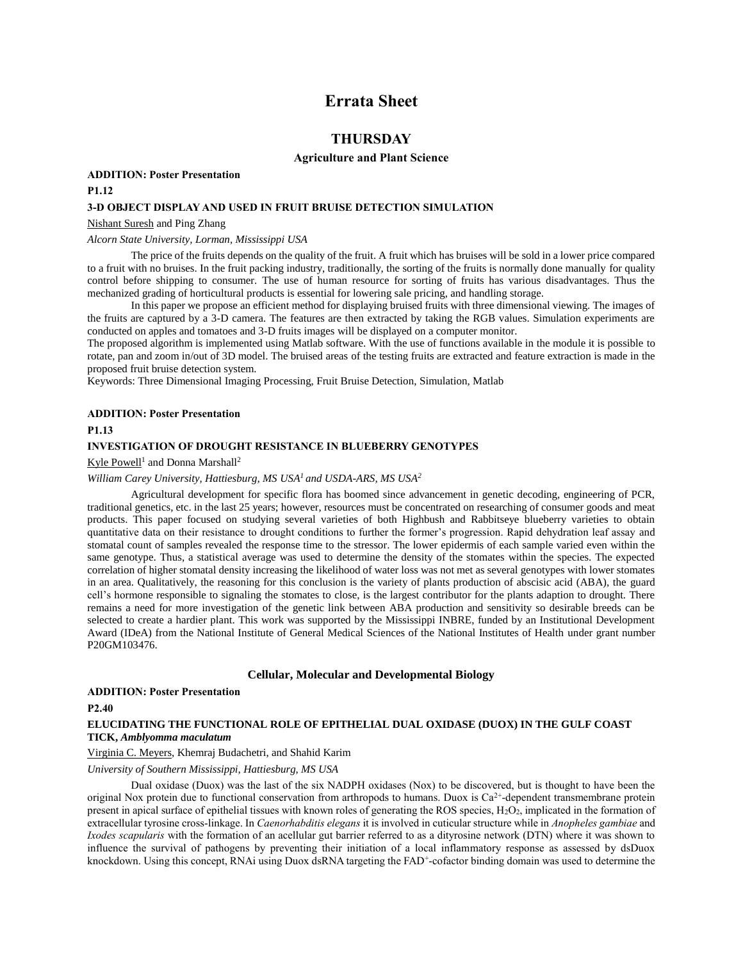# **Errata Sheet**

# **THURSDAY**

#### **Agriculture and Plant Science**

#### **ADDITION: Poster Presentation**

## **P1.12**

## **3-D OBJECT DISPLAY AND USED IN FRUIT BRUISE DETECTION SIMULATION**

#### Nishant Suresh and Ping Zhang

## *Alcorn State University, Lorman, Mississippi USA*

The price of the fruits depends on the quality of the fruit. A fruit which has bruises will be sold in a lower price compared to a fruit with no bruises. In the fruit packing industry, traditionally, the sorting of the fruits is normally done manually for quality control before shipping to consumer. The use of human resource for sorting of fruits has various disadvantages. Thus the mechanized grading of horticultural products is essential for lowering sale pricing, and handling storage.

In this paper we propose an efficient method for displaying bruised fruits with three dimensional viewing. The images of the fruits are captured by a 3-D camera. The features are then extracted by taking the RGB values. Simulation experiments are conducted on apples and tomatoes and 3-D fruits images will be displayed on a computer monitor.

The proposed algorithm is implemented using Matlab software. With the use of functions available in the module it is possible to rotate, pan and zoom in/out of 3D model. The bruised areas of the testing fruits are extracted and feature extraction is made in the proposed fruit bruise detection system.

Keywords: Three Dimensional Imaging Processing, Fruit Bruise Detection, Simulation, Matlab

#### **ADDITION: Poster Presentation**

#### **P1.13**

#### **INVESTIGATION OF DROUGHT RESISTANCE IN BLUEBERRY GENOTYPES**

#### Kyle Powell<sup>1</sup> and Donna Marshall<sup>2</sup>

## *William Carey University, Hattiesburg, MS USA<sup>1</sup> and USDA-ARS, MS USA<sup>2</sup>*

Agricultural development for specific flora has boomed since advancement in genetic decoding, engineering of PCR, traditional genetics, etc. in the last 25 years; however, resources must be concentrated on researching of consumer goods and meat products. This paper focused on studying several varieties of both Highbush and Rabbitseye blueberry varieties to obtain quantitative data on their resistance to drought conditions to further the former's progression. Rapid dehydration leaf assay and stomatal count of samples revealed the response time to the stressor. The lower epidermis of each sample varied even within the same genotype. Thus, a statistical average was used to determine the density of the stomates within the species. The expected correlation of higher stomatal density increasing the likelihood of water loss was not met as several genotypes with lower stomates in an area. Qualitatively, the reasoning for this conclusion is the variety of plants production of abscisic acid (ABA), the guard cell's hormone responsible to signaling the stomates to close, is the largest contributor for the plants adaption to drought. There remains a need for more investigation of the genetic link between ABA production and sensitivity so desirable breeds can be selected to create a hardier plant. This work was supported by the Mississippi INBRE, funded by an Institutional Development Award (IDeA) from the National Institute of General Medical Sciences of the National Institutes of Health under grant number P20GM103476.

#### **Cellular, Molecular and Developmental Biology**

#### **ADDITION: Poster Presentation**

#### **P2.40**

#### **ELUCIDATING THE FUNCTIONAL ROLE OF EPITHELIAL DUAL OXIDASE (DUOX) IN THE GULF COAST TICK,** *Amblyomma maculatum*

## Virginia C. Meyers, Khemraj Budachetri, and Shahid Karim

#### *University of Southern Mississippi, Hattiesburg, MS USA*

Dual oxidase (Duox) was the last of the six NADPH oxidases (Nox) to be discovered, but is thought to have been the original Nox protein due to functional conservation from arthropods to humans. Duox is  $Ca<sup>2+</sup>$ -dependent transmembrane protein present in apical surface of epithelial tissues with known roles of generating the ROS species, H2O2, implicated in the formation of extracellular tyrosine cross-linkage. In *Caenorhabditis elegans* it is involved in cuticular structure while in *Anopheles gambiae* and *Ixodes scapularis* with the formation of an acellular gut barrier referred to as a dityrosine network (DTN) where it was shown to influence the survival of pathogens by preventing their initiation of a local inflammatory response as assessed by dsDuox knockdown. Using this concept, RNAi using Duox dsRNA targeting the FAD<sup>+</sup>-cofactor binding domain was used to determine the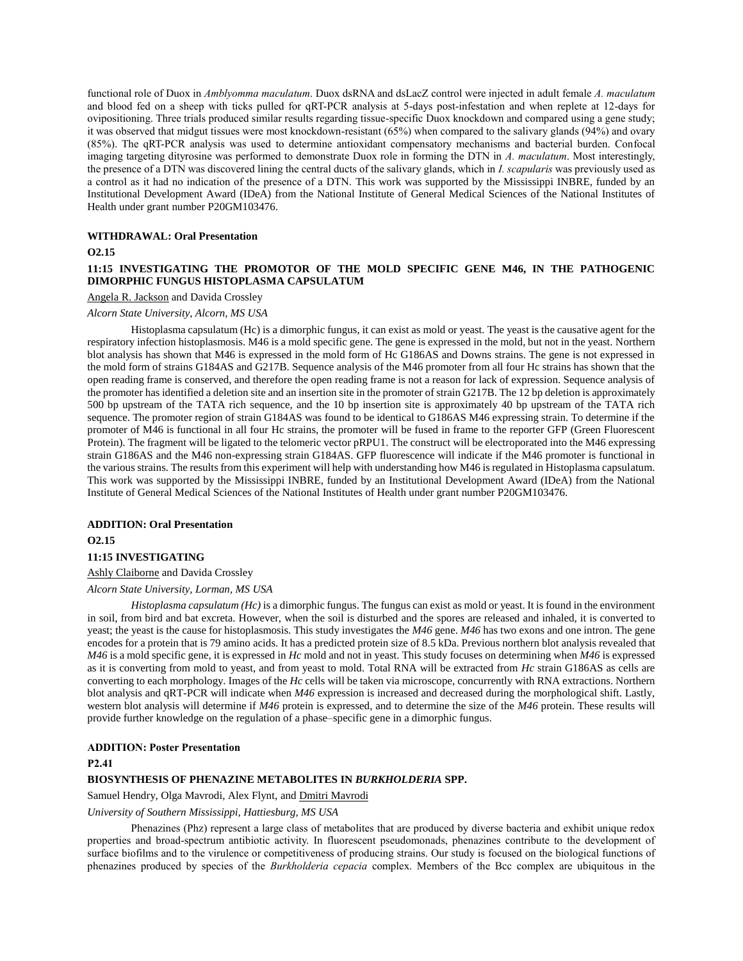functional role of Duox in *Amblyomma maculatum*. Duox dsRNA and dsLacZ control were injected in adult female *A. maculatum* and blood fed on a sheep with ticks pulled for qRT-PCR analysis at 5-days post-infestation and when replete at 12-days for ovipositioning. Three trials produced similar results regarding tissue-specific Duox knockdown and compared using a gene study; it was observed that midgut tissues were most knockdown-resistant (65%) when compared to the salivary glands (94%) and ovary (85%). The qRT-PCR analysis was used to determine antioxidant compensatory mechanisms and bacterial burden. Confocal imaging targeting dityrosine was performed to demonstrate Duox role in forming the DTN in *A. maculatum*. Most interestingly, the presence of a DTN was discovered lining the central ducts of the salivary glands, which in *I. scapularis* was previously used as a control as it had no indication of the presence of a DTN. This work was supported by the Mississippi INBRE, funded by an Institutional Development Award (IDeA) from the National Institute of General Medical Sciences of the National Institutes of Health under grant number P20GM103476.

#### **WITHDRAWAL: Oral Presentation**

#### **O2.15**

## **11:15 INVESTIGATING THE PROMOTOR OF THE MOLD SPECIFIC GENE M46, IN THE PATHOGENIC DIMORPHIC FUNGUS HISTOPLASMA CAPSULATUM**

#### Angela R. Jackson and Davida Crossley

#### *Alcorn State University, Alcorn, MS USA*

Histoplasma capsulatum (Hc) is a dimorphic fungus, it can exist as mold or yeast. The yeast is the causative agent for the respiratory infection histoplasmosis. M46 is a mold specific gene. The gene is expressed in the mold, but not in the yeast. Northern blot analysis has shown that M46 is expressed in the mold form of Hc G186AS and Downs strains. The gene is not expressed in the mold form of strains G184AS and G217B. Sequence analysis of the M46 promoter from all four Hc strains has shown that the open reading frame is conserved, and therefore the open reading frame is not a reason for lack of expression. Sequence analysis of the promoter has identified a deletion site and an insertion site in the promoter of strain G217B. The 12 bp deletion is approximately 500 bp upstream of the TATA rich sequence, and the 10 bp insertion site is approximately 40 bp upstream of the TATA rich sequence. The promoter region of strain G184AS was found to be identical to G186AS M46 expressing strain. To determine if the promoter of M46 is functional in all four Hc strains, the promoter will be fused in frame to the reporter GFP (Green Fluorescent Protein). The fragment will be ligated to the telomeric vector pRPU1. The construct will be electroporated into the M46 expressing strain G186AS and the M46 non-expressing strain G184AS. GFP fluorescence will indicate if the M46 promoter is functional in the various strains. The results from this experiment will help with understanding how M46 is regulated in Histoplasma capsulatum. This work was supported by the Mississippi INBRE, funded by an Institutional Development Award (IDeA) from the National Institute of General Medical Sciences of the National Institutes of Health under grant number P20GM103476.

# **ADDITION: Oral Presentation O2.15**

# **11:15 INVESTIGATING**

Ashly Claiborne and Davida Crossley *Alcorn State University, Lorman, MS USA*

*Histoplasma capsulatum (Hc)* is a dimorphic fungus. The fungus can exist as mold or yeast. It is found in the environment in soil, from bird and bat excreta. However, when the soil is disturbed and the spores are released and inhaled, it is converted to yeast; the yeast is the cause for histoplasmosis. This study investigates the *M46* gene. *M46* has two exons and one intron. The gene encodes for a protein that is 79 amino acids. It has a predicted protein size of 8.5 kDa. Previous northern blot analysis revealed that *M46* is a mold specific gene, it is expressed in *Hc* mold and not in yeast. This study focuses on determining when *M46* is expressed as it is converting from mold to yeast, and from yeast to mold. Total RNA will be extracted from *Hc* strain G186AS as cells are converting to each morphology. Images of the *Hc* cells will be taken via microscope, concurrently with RNA extractions. Northern blot analysis and qRT-PCR will indicate when *M46* expression is increased and decreased during the morphological shift. Lastly, western blot analysis will determine if *M46* protein is expressed, and to determine the size of the *M46* protein. These results will provide further knowledge on the regulation of a phase–specific gene in a dimorphic fungus.

#### **ADDITION: Poster Presentation**

#### **P2.41**

## **BIOSYNTHESIS OF PHENAZINE METABOLITES IN** *BURKHOLDERIA* **SPP.**

Samuel Hendry, Olga Mavrodi, Alex Flynt, and Dmitri Mavrodi

*University of Southern Mississippi, Hattiesburg, MS USA*

Phenazines (Phz) represent a large class of metabolites that are produced by diverse bacteria and exhibit unique redox properties and broad-spectrum antibiotic activity. In fluorescent pseudomonads, phenazines contribute to the development of surface biofilms and to the virulence or competitiveness of producing strains. Our study is focused on the biological functions of phenazines produced by species of the *Burkholderia cepacia* complex. Members of the Bcc complex are ubiquitous in the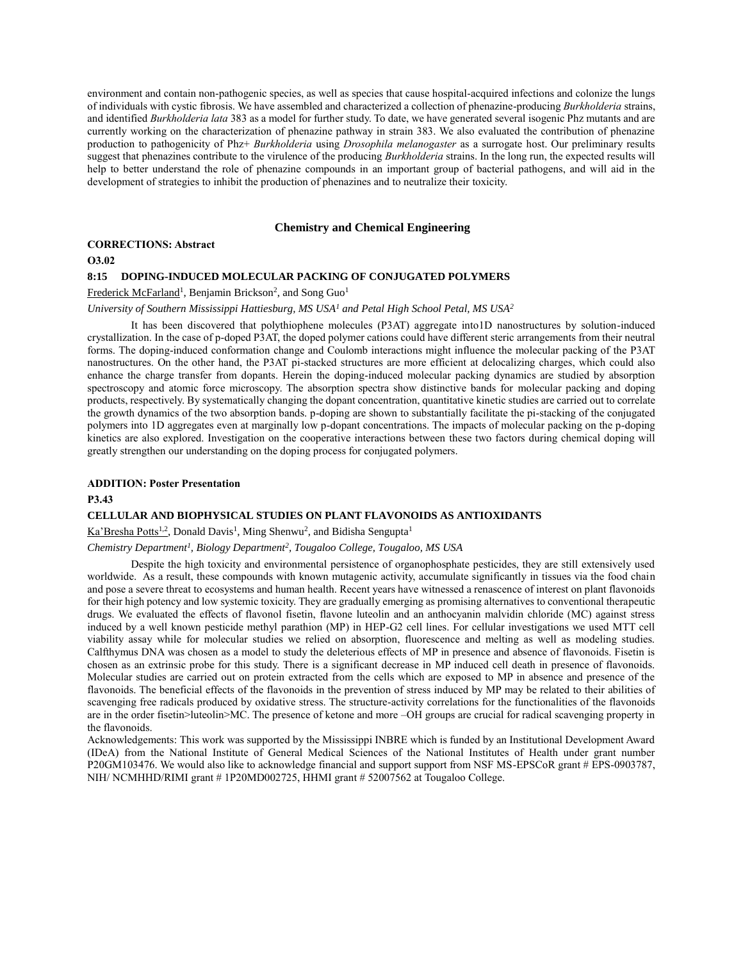environment and contain non-pathogenic species, as well as species that cause hospital-acquired infections and colonize the lungs of individuals with cystic fibrosis. We have assembled and characterized a collection of phenazine-producing *Burkholderia* strains, and identified *Burkholderia lata* 383 as a model for further study. To date, we have generated several isogenic Phz mutants and are currently working on the characterization of phenazine pathway in strain 383. We also evaluated the contribution of phenazine production to pathogenicity of Phz+ *Burkholderia* using *Drosophila melanogaster* as a surrogate host. Our preliminary results suggest that phenazines contribute to the virulence of the producing *Burkholderia* strains. In the long run, the expected results will help to better understand the role of phenazine compounds in an important group of bacterial pathogens, and will aid in the development of strategies to inhibit the production of phenazines and to neutralize their toxicity.

#### **Chemistry and Chemical Engineering**

#### **CORRECTIONS: Abstract**

## **O3.02**

### **8:15 DOPING-INDUCED MOLECULAR PACKING OF CONJUGATED POLYMERS**

Frederick McFarland<sup>1</sup>, Benjamin Brickson<sup>2</sup>, and Song Guo<sup>1</sup>

#### *University of Southern Mississippi Hattiesburg, MS USA<sup>1</sup> and Petal High School Petal, MS USA<sup>2</sup>*

It has been discovered that polythiophene molecules (P3AT) aggregate into1D nanostructures by solution-induced crystallization. In the case of p-doped P3AT, the doped polymer cations could have different steric arrangements from their neutral forms. The doping-induced conformation change and Coulomb interactions might influence the molecular packing of the P3AT nanostructures. On the other hand, the P3AT pi-stacked structures are more efficient at delocalizing charges, which could also enhance the charge transfer from dopants. Herein the doping-induced molecular packing dynamics are studied by absorption spectroscopy and atomic force microscopy. The absorption spectra show distinctive bands for molecular packing and doping products, respectively. By systematically changing the dopant concentration, quantitative kinetic studies are carried out to correlate the growth dynamics of the two absorption bands. p-doping are shown to substantially facilitate the pi-stacking of the conjugated polymers into 1D aggregates even at marginally low p-dopant concentrations. The impacts of molecular packing on the p-doping kinetics are also explored. Investigation on the cooperative interactions between these two factors during chemical doping will greatly strengthen our understanding on the doping process for conjugated polymers.

#### **ADDITION: Poster Presentation**

#### **P3.43**

#### **CELLULAR AND BIOPHYSICAL STUDIES ON PLANT FLAVONOIDS AS ANTIOXIDANTS**

Ka'Bresha Potts<sup>1,2</sup>, Donald Davis<sup>1</sup>, Ming Shenwu<sup>2</sup>, and Bidisha Sengupta<sup>1</sup>

#### *Chemistry Department<sup>1</sup> , Biology Department<sup>2</sup> , Tougaloo College, Tougaloo, MS USA*

Despite the high toxicity and environmental persistence of organophosphate pesticides, they are still extensively used worldwide. As a result, these compounds with known mutagenic activity, accumulate significantly in tissues via the food chain and pose a severe threat to ecosystems and human health. Recent years have witnessed a renascence of interest on plant flavonoids for their high potency and low systemic toxicity. They are gradually emerging as promising alternatives to conventional therapeutic drugs. We evaluated the effects of flavonol fisetin, flavone luteolin and an anthocyanin malvidin chloride (MC) against stress induced by a well known pesticide methyl parathion (MP) in HEP-G2 cell lines. For cellular investigations we used MTT cell viability assay while for molecular studies we relied on absorption, fluorescence and melting as well as modeling studies. Calfthymus DNA was chosen as a model to study the deleterious effects of MP in presence and absence of flavonoids. Fisetin is chosen as an extrinsic probe for this study. There is a significant decrease in MP induced cell death in presence of flavonoids. Molecular studies are carried out on protein extracted from the cells which are exposed to MP in absence and presence of the flavonoids. The beneficial effects of the flavonoids in the prevention of stress induced by MP may be related to their abilities of scavenging free radicals produced by oxidative stress. The structure-activity correlations for the functionalities of the flavonoids are in the order fisetin>luteolin>MC. The presence of ketone and more –OH groups are crucial for radical scavenging property in the flavonoids.

Acknowledgements: This work was supported by the Mississippi INBRE which is funded by an Institutional Development Award (IDeA) from the National Institute of General Medical Sciences of the National Institutes of Health under grant number P20GM103476. We would also like to acknowledge financial and support support from NSF MS-EPSCoR grant # EPS-0903787, NIH/ NCMHHD/RIMI grant # 1P20MD002725, HHMI grant # 52007562 at Tougaloo College.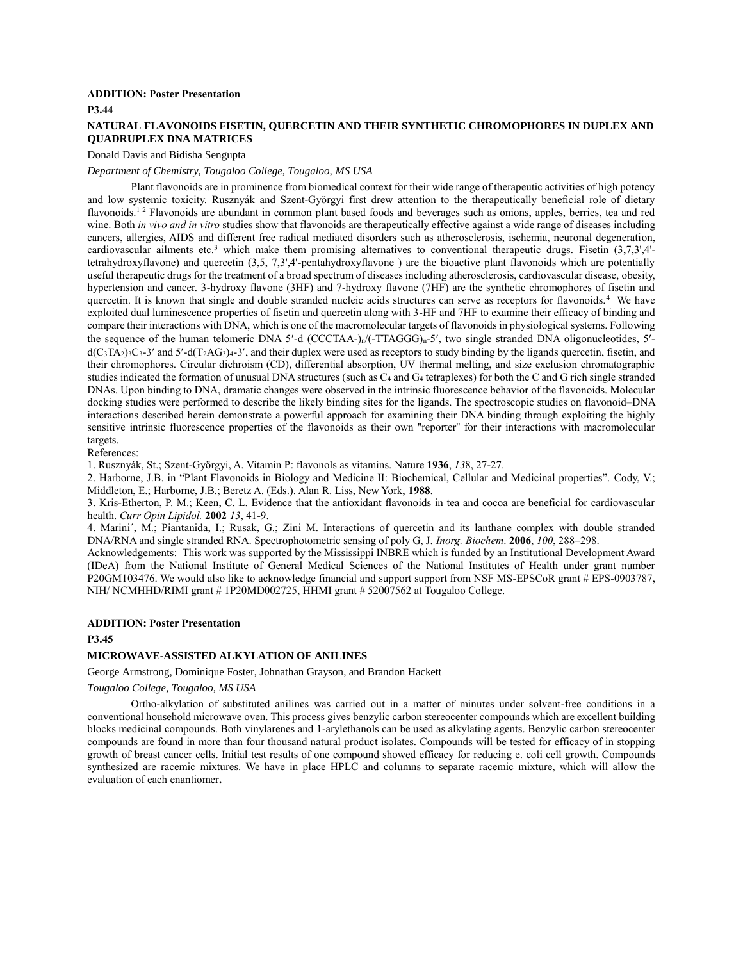## **ADDITION: Poster Presentation**

**P3.44**

## **NATURAL FLAVONOIDS FISETIN, QUERCETIN AND THEIR SYNTHETIC CHROMOPHORES IN DUPLEX AND QUADRUPLEX DNA MATRICES**

#### Donald Davis and Bidisha Sengupta

## *Department of Chemistry, Tougaloo College, Tougaloo, MS USA*

Plant flavonoids are in prominence from biomedical context for their wide range of therapeutic activities of high potency and low systemic toxicity. Rusznyák and Szent-Györgyi first drew attention to the therapeutically beneficial role of dietary flavonoids.<sup>12</sup> Flavonoids are abundant in common plant based foods and beverages such as onions, apples, berries, tea and red wine. Both *in vivo and in vitro* studies show that flavonoids are therapeutically effective against a wide range of diseases including cancers, allergies, AIDS and different free radical mediated disorders such as atherosclerosis, ischemia, neuronal degeneration, cardiovascular ailments etc.<sup>3</sup> which make them promising alternatives to conventional therapeutic drugs. Fisetin  $(3.7.3')$ .4'tetrahydroxyflavone) and quercetin (3,5, 7,3',4'-pentahydroxyflavone ) are the bioactive plant flavonoids which are potentially useful therapeutic drugs for the treatment of a broad spectrum of diseases including atherosclerosis, cardiovascular disease, obesity, hypertension and cancer. 3-hydroxy flavone (3HF) and 7-hydroxy flavone (7HF) are the synthetic chromophores of fisetin and quercetin. It is known that single and double stranded nucleic acids structures can serve as receptors for flavonoids.<sup>4</sup> We have exploited dual luminescence properties of fisetin and quercetin along with 3-HF and 7HF to examine their efficacy of binding and compare their interactions with DNA, which is one of the macromolecular targets of flavonoids in physiological systems. Following the sequence of the human telomeric DNA 5'-d (CCCTAA-)n/(-TTAGGG)<sub>n</sub>-5', two single stranded DNA oligonucleotides, 5' $d(C_3TA_2)_{3}C_3-3'$  and  $5'-d(T_2AG_3)_{4}-3'$ , and their duplex were used as receptors to study binding by the ligands quercetin, fisetin, and their chromophores. Circular dichroism (CD), differential absorption, UV thermal melting, and size exclusion chromatographic studies indicated the formation of unusual DNA structures (such as  $C_4$  and  $G_4$  tetraplexes) for both the C and G rich single stranded DNAs. Upon binding to DNA, dramatic changes were observed in the intrinsic fluorescence behavior of the flavonoids. Molecular docking studies were performed to describe the likely binding sites for the ligands. The spectroscopic studies on flavonoid–DNA interactions described herein demonstrate a powerful approach for examining their DNA binding through exploiting the highly sensitive intrinsic fluorescence properties of the flavonoids as their own ''reporter'' for their interactions with macromolecular targets.

References:

1. Rusznyák, St.; Szent-Györgyi, A. Vitamin P: flavonols as vitamins. Nature **1936**, *13*8, 27-27.

2. Harborne, J.B. in "Plant Flavonoids in Biology and Medicine II: Biochemical, Cellular and Medicinal properties". Cody, V.; Middleton, E.; Harborne, J.B.; Beretz A. (Eds.). Alan R. Liss, New York, **1988**.

3. Kris-Etherton, P. M.; Keen, C. L. Evidence that the antioxidant flavonoids in tea and cocoa are beneficial for cardiovascular health. *Curr Opin Lipidol.* **2002** *13*, 41-9.

4. Marini´, M.; Piantanida, I.; Rusak, G.; Zini M. Interactions of quercetin and its lanthane complex with double stranded DNA/RNA and single stranded RNA. Spectrophotometric sensing of poly G, J. *Inorg. Biochem*. **2006**, *100*, 288–298.

Acknowledgements: This work was supported by the Mississippi INBRE which is funded by an Institutional Development Award (IDeA) from the National Institute of General Medical Sciences of the National Institutes of Health under grant number P20GM103476. We would also like to acknowledge financial and support support from NSF MS-EPSCoR grant # EPS-0903787, NIH/ NCMHHD/RIMI grant # 1P20MD002725, HHMI grant # 52007562 at Tougaloo College.

#### **ADDITION: Poster Presentation**

#### **P3.45**

## **MICROWAVE-ASSISTED ALKYLATION OF ANILINES**

George Armstrong, Dominique Foster, Johnathan Grayson, and Brandon Hackett

#### *Tougaloo College, Tougaloo, MS USA*

Ortho-alkylation of substituted anilines was carried out in a matter of minutes under solvent-free conditions in a conventional household microwave oven. This process gives benzylic carbon stereocenter compounds which are excellent building blocks medicinal compounds. Both vinylarenes and 1-arylethanols can be used as alkylating agents. Benzylic carbon stereocenter compounds are found in more than four thousand natural product isolates. Compounds will be tested for efficacy of in stopping growth of breast cancer cells. Initial test results of one compound showed efficacy for reducing e. coli cell growth. Compounds synthesized are racemic mixtures. We have in place HPLC and columns to separate racemic mixture, which will allow the evaluation of each enantiomer**.**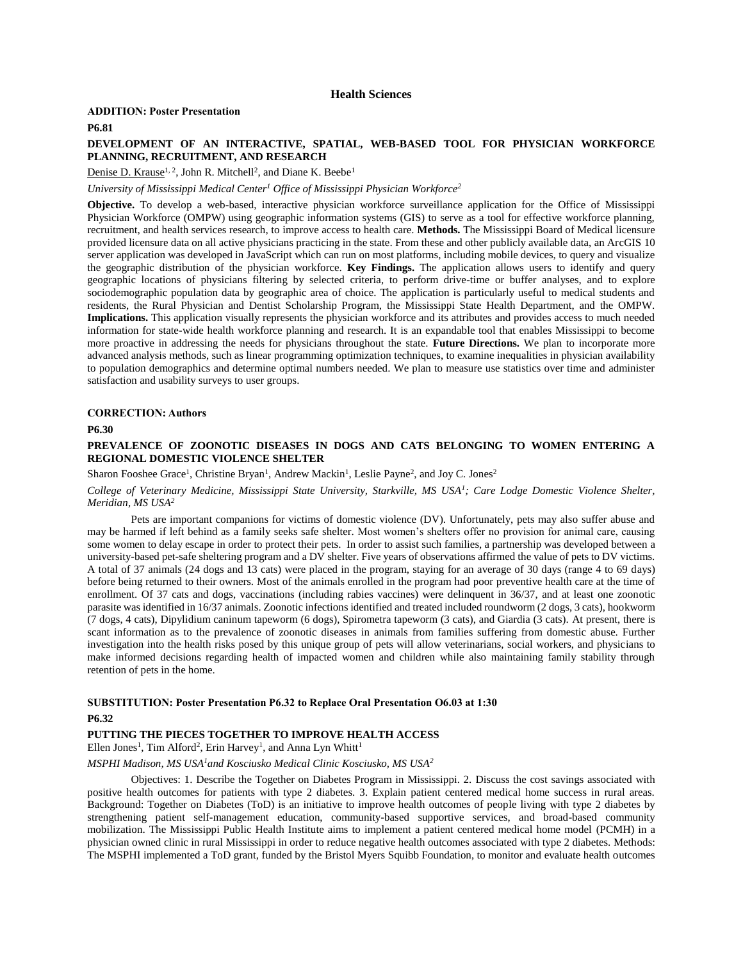## **Health Sciences**

#### **ADDITION: Poster Presentation**

**P6.81**

## **DEVELOPMENT OF AN INTERACTIVE, SPATIAL, WEB-BASED TOOL FOR PHYSICIAN WORKFORCE PLANNING, RECRUITMENT, AND RESEARCH**

Denise D. Krause<sup>1, 2</sup>, John R. Mitchell<sup>2</sup>, and Diane K. Beebe<sup>1</sup>

*University of Mississippi Medical Center<sup>1</sup> Office of Mississippi Physician Workforce<sup>2</sup>*

**Objective.** To develop a web-based, interactive physician workforce surveillance application for the Office of Mississippi Physician Workforce (OMPW) using geographic information systems (GIS) to serve as a tool for effective workforce planning, recruitment, and health services research, to improve access to health care. **Methods.** The Mississippi Board of Medical licensure provided licensure data on all active physicians practicing in the state. From these and other publicly available data, an ArcGIS 10 server application was developed in JavaScript which can run on most platforms, including mobile devices, to query and visualize the geographic distribution of the physician workforce. **Key Findings.** The application allows users to identify and query geographic locations of physicians filtering by selected criteria, to perform drive-time or buffer analyses, and to explore sociodemographic population data by geographic area of choice. The application is particularly useful to medical students and residents, the Rural Physician and Dentist Scholarship Program, the Mississippi State Health Department, and the OMPW. **Implications.** This application visually represents the physician workforce and its attributes and provides access to much needed information for state-wide health workforce planning and research. It is an expandable tool that enables Mississippi to become more proactive in addressing the needs for physicians throughout the state. **Future Directions.** We plan to incorporate more advanced analysis methods, such as linear programming optimization techniques, to examine inequalities in physician availability to population demographics and determine optimal numbers needed. We plan to measure use statistics over time and administer satisfaction and usability surveys to user groups.

#### **CORRECTION: Authors**

**P6.30**

## **PREVALENCE OF ZOONOTIC DISEASES IN DOGS AND CATS BELONGING TO WOMEN ENTERING A REGIONAL DOMESTIC VIOLENCE SHELTER**

#### Sharon Fooshee Grace<sup>1</sup>, Christine Bryan<sup>1</sup>, Andrew Mackin<sup>1</sup>, Leslie Payne<sup>2</sup>, and Joy C. Jones<sup>2</sup>

*College of Veterinary Medicine, Mississippi State University, Starkville, MS USA<sup>1</sup> ; Care Lodge Domestic Violence Shelter, Meridian, MS USA<sup>2</sup>*

Pets are important companions for victims of domestic violence (DV). Unfortunately, pets may also suffer abuse and may be harmed if left behind as a family seeks safe shelter. Most women's shelters offer no provision for animal care, causing some women to delay escape in order to protect their pets. In order to assist such families, a partnership was developed between a university-based pet-safe sheltering program and a DV shelter. Five years of observations affirmed the value of pets to DV victims. A total of 37 animals (24 dogs and 13 cats) were placed in the program, staying for an average of 30 days (range 4 to 69 days) before being returned to their owners. Most of the animals enrolled in the program had poor preventive health care at the time of enrollment. Of 37 cats and dogs, vaccinations (including rabies vaccines) were delinquent in 36/37, and at least one zoonotic parasite was identified in 16/37 animals. Zoonotic infections identified and treated included roundworm (2 dogs, 3 cats), hookworm (7 dogs, 4 cats), Dipylidium caninum tapeworm (6 dogs), Spirometra tapeworm (3 cats), and Giardia (3 cats). At present, there is scant information as to the prevalence of zoonotic diseases in animals from families suffering from domestic abuse. Further investigation into the health risks posed by this unique group of pets will allow veterinarians, social workers, and physicians to make informed decisions regarding health of impacted women and children while also maintaining family stability through retention of pets in the home.

## **SUBSTITUTION: Poster Presentation P6.32 to Replace Oral Presentation O6.03 at 1:30 P6.32**

## **PUTTING THE PIECES TOGETHER TO IMPROVE HEALTH ACCESS**

Ellen Jones<sup>1</sup>, Tim Alford<sup>2</sup>, Erin Harvey<sup>1</sup>, and Anna Lyn Whitt<sup>1</sup>

#### *MSPHI Madison, MS USA<sup>1</sup>and Kosciusko Medical Clinic Kosciusko, MS USA<sup>2</sup>*

Objectives: 1. Describe the Together on Diabetes Program in Mississippi. 2. Discuss the cost savings associated with positive health outcomes for patients with type 2 diabetes. 3. Explain patient centered medical home success in rural areas. Background: Together on Diabetes (ToD) is an initiative to improve health outcomes of people living with type 2 diabetes by strengthening patient self-management education, community-based supportive services, and broad-based community mobilization. The Mississippi Public Health Institute aims to implement a patient centered medical home model (PCMH) in a physician owned clinic in rural Mississippi in order to reduce negative health outcomes associated with type 2 diabetes. Methods: The MSPHI implemented a ToD grant, funded by the Bristol Myers Squibb Foundation, to monitor and evaluate health outcomes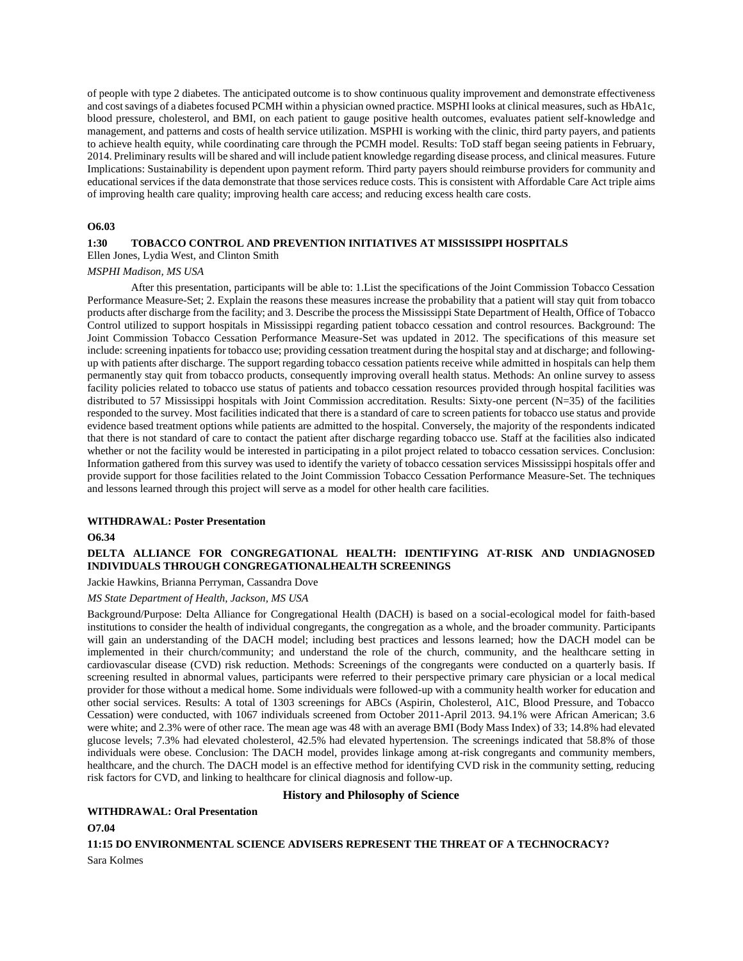of people with type 2 diabetes. The anticipated outcome is to show continuous quality improvement and demonstrate effectiveness and cost savings of a diabetes focused PCMH within a physician owned practice. MSPHI looks at clinical measures, such as HbA1c, blood pressure, cholesterol, and BMI, on each patient to gauge positive health outcomes, evaluates patient self-knowledge and management, and patterns and costs of health service utilization. MSPHI is working with the clinic, third party payers, and patients to achieve health equity, while coordinating care through the PCMH model. Results: ToD staff began seeing patients in February, 2014. Preliminary results will be shared and will include patient knowledge regarding disease process, and clinical measures. Future Implications: Sustainability is dependent upon payment reform. Third party payers should reimburse providers for community and educational services if the data demonstrate that those services reduce costs. This is consistent with Affordable Care Act triple aims of improving health care quality; improving health care access; and reducing excess health care costs.

#### **O6.03**

## **1:30 TOBACCO CONTROL AND PREVENTION INITIATIVES AT MISSISSIPPI HOSPITALS**

## Ellen Jones, Lydia West, and Clinton Smith

#### *MSPHI Madison, MS USA*

After this presentation, participants will be able to: 1.List the specifications of the Joint Commission Tobacco Cessation Performance Measure-Set; 2. Explain the reasons these measures increase the probability that a patient will stay quit from tobacco products after discharge from the facility; and 3. Describe the process the Mississippi State Department of Health, Office of Tobacco Control utilized to support hospitals in Mississippi regarding patient tobacco cessation and control resources. Background: The Joint Commission Tobacco Cessation Performance Measure-Set was updated in 2012. The specifications of this measure set include: screening inpatients for tobacco use; providing cessation treatment during the hospital stay and at discharge; and followingup with patients after discharge. The support regarding tobacco cessation patients receive while admitted in hospitals can help them permanently stay quit from tobacco products, consequently improving overall health status. Methods: An online survey to assess facility policies related to tobacco use status of patients and tobacco cessation resources provided through hospital facilities was distributed to 57 Mississippi hospitals with Joint Commission accreditation. Results: Sixty-one percent (N=35) of the facilities responded to the survey. Most facilities indicated that there is a standard of care to screen patients for tobacco use status and provide evidence based treatment options while patients are admitted to the hospital. Conversely, the majority of the respondents indicated that there is not standard of care to contact the patient after discharge regarding tobacco use. Staff at the facilities also indicated whether or not the facility would be interested in participating in a pilot project related to tobacco cessation services. Conclusion: Information gathered from this survey was used to identify the variety of tobacco cessation services Mississippi hospitals offer and provide support for those facilities related to the Joint Commission Tobacco Cessation Performance Measure-Set. The techniques and lessons learned through this project will serve as a model for other health care facilities.

#### **WITHDRAWAL: Poster Presentation**

#### **O6.34**

## **DELTA ALLIANCE FOR CONGREGATIONAL HEALTH: IDENTIFYING AT-RISK AND UNDIAGNOSED INDIVIDUALS THROUGH CONGREGATIONALHEALTH SCREENINGS**

#### Jackie Hawkins, Brianna Perryman, Cassandra Dove

#### *MS State Department of Health, Jackson, MS USA*

Background/Purpose: Delta Alliance for Congregational Health (DACH) is based on a social-ecological model for faith-based institutions to consider the health of individual congregants, the congregation as a whole, and the broader community. Participants will gain an understanding of the DACH model; including best practices and lessons learned; how the DACH model can be implemented in their church/community; and understand the role of the church, community, and the healthcare setting in cardiovascular disease (CVD) risk reduction. Methods: Screenings of the congregants were conducted on a quarterly basis. If screening resulted in abnormal values, participants were referred to their perspective primary care physician or a local medical provider for those without a medical home. Some individuals were followed-up with a community health worker for education and other social services. Results: A total of 1303 screenings for ABCs (Aspirin, Cholesterol, A1C, Blood Pressure, and Tobacco Cessation) were conducted, with 1067 individuals screened from October 2011-April 2013. 94.1% were African American; 3.6 were white; and 2.3% were of other race. The mean age was 48 with an average BMI (Body Mass Index) of 33; 14.8% had elevated glucose levels; 7.3% had elevated cholesterol, 42.5% had elevated hypertension. The screenings indicated that 58.8% of those individuals were obese. Conclusion: The DACH model, provides linkage among at-risk congregants and community members, healthcare, and the church. The DACH model is an effective method for identifying CVD risk in the community setting, reducing risk factors for CVD, and linking to healthcare for clinical diagnosis and follow-up.

## **History and Philosophy of Science**

#### **WITHDRAWAL: Oral Presentation**

**O7.04**

**11:15 DO ENVIRONMENTAL SCIENCE ADVISERS REPRESENT THE THREAT OF A TECHNOCRACY?** Sara Kolmes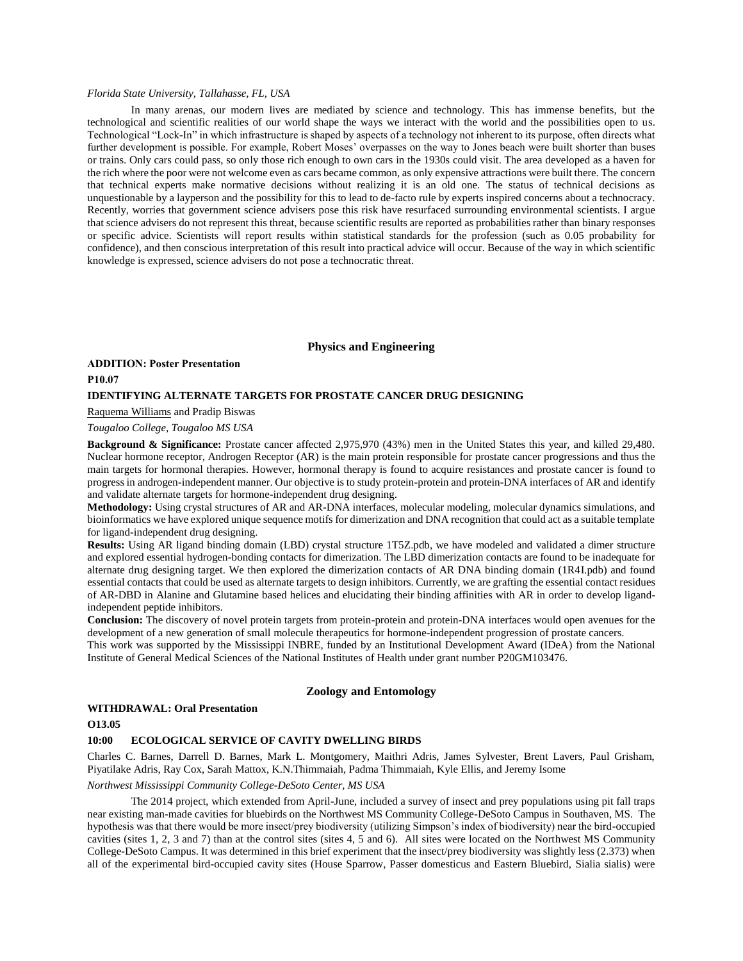## *Florida State University, Tallahasse, FL, USA*

In many arenas, our modern lives are mediated by science and technology. This has immense benefits, but the technological and scientific realities of our world shape the ways we interact with the world and the possibilities open to us. Technological "Lock-In" in which infrastructure is shaped by aspects of a technology not inherent to its purpose, often directs what further development is possible. For example, Robert Moses' overpasses on the way to Jones beach were built shorter than buses or trains. Only cars could pass, so only those rich enough to own cars in the 1930s could visit. The area developed as a haven for the rich where the poor were not welcome even as cars became common, as only expensive attractions were built there. The concern that technical experts make normative decisions without realizing it is an old one. The status of technical decisions as unquestionable by a layperson and the possibility for this to lead to de-facto rule by experts inspired concerns about a technocracy. Recently, worries that government science advisers pose this risk have resurfaced surrounding environmental scientists. I argue that science advisers do not represent this threat, because scientific results are reported as probabilities rather than binary responses or specific advice. Scientists will report results within statistical standards for the profession (such as 0.05 probability for confidence), and then conscious interpretation of this result into practical advice will occur. Because of the way in which scientific knowledge is expressed, science advisers do not pose a technocratic threat.

## **Physics and Engineering**

## **ADDITION: Poster Presentation P10.07 IDENTIFYING ALTERNATE TARGETS FOR PROSTATE CANCER DRUG DESIGNING**

## Raquema Williams and Pradip Biswas

## *Tougaloo College, Tougaloo MS USA*

**Background & Significance:** Prostate cancer affected 2,975,970 (43%) men in the United States this year, and killed 29,480. Nuclear hormone receptor, Androgen Receptor (AR) is the main protein responsible for prostate cancer progressions and thus the main targets for hormonal therapies. However, hormonal therapy is found to acquire resistances and prostate cancer is found to progress in androgen-independent manner. Our objective is to study protein-protein and protein-DNA interfaces of AR and identify and validate alternate targets for hormone-independent drug designing.

**Methodology:** Using crystal structures of AR and AR-DNA interfaces, molecular modeling, molecular dynamics simulations, and bioinformatics we have explored unique sequence motifs for dimerization and DNA recognition that could act as a suitable template for ligand-independent drug designing.

**Results:** Using AR ligand binding domain (LBD) crystal structure 1T5Z.pdb, we have modeled and validated a dimer structure and explored essential hydrogen-bonding contacts for dimerization. The LBD dimerization contacts are found to be inadequate for alternate drug designing target. We then explored the dimerization contacts of AR DNA binding domain (1R4I.pdb) and found essential contacts that could be used as alternate targets to design inhibitors. Currently, we are grafting the essential contact residues of AR-DBD in Alanine and Glutamine based helices and elucidating their binding affinities with AR in order to develop ligandindependent peptide inhibitors.

**Conclusion:** The discovery of novel protein targets from protein-protein and protein-DNA interfaces would open avenues for the development of a new generation of small molecule therapeutics for hormone-independent progression of prostate cancers.

This work was supported by the Mississippi INBRE, funded by an Institutional Development Award (IDeA) from the National Institute of General Medical Sciences of the National Institutes of Health under grant number P20GM103476.

## **Zoology and Entomology**

## **WITHDRAWAL: Oral Presentation**

#### **O13.05**

## **10:00 ECOLOGICAL SERVICE OF CAVITY DWELLING BIRDS**

Charles C. Barnes, Darrell D. Barnes, Mark L. Montgomery, Maithri Adris, James Sylvester, Brent Lavers, Paul Grisham, Piyatilake Adris, Ray Cox, Sarah Mattox, K.N.Thimmaiah, Padma Thimmaiah, Kyle Ellis, and Jeremy Isome

## *Northwest Mississippi Community College-DeSoto Center, MS USA*

The 2014 project, which extended from April-June, included a survey of insect and prey populations using pit fall traps near existing man-made cavities for bluebirds on the Northwest MS Community College-DeSoto Campus in Southaven, MS. The hypothesis was that there would be more insect/prey biodiversity (utilizing Simpson's index of biodiversity) near the bird-occupied cavities (sites 1, 2, 3 and 7) than at the control sites (sites 4, 5 and 6). All sites were located on the Northwest MS Community College-DeSoto Campus. It was determined in this brief experiment that the insect/prey biodiversity was slightly less (2.373) when all of the experimental bird-occupied cavity sites (House Sparrow, Passer domesticus and Eastern Bluebird, Sialia sialis) were